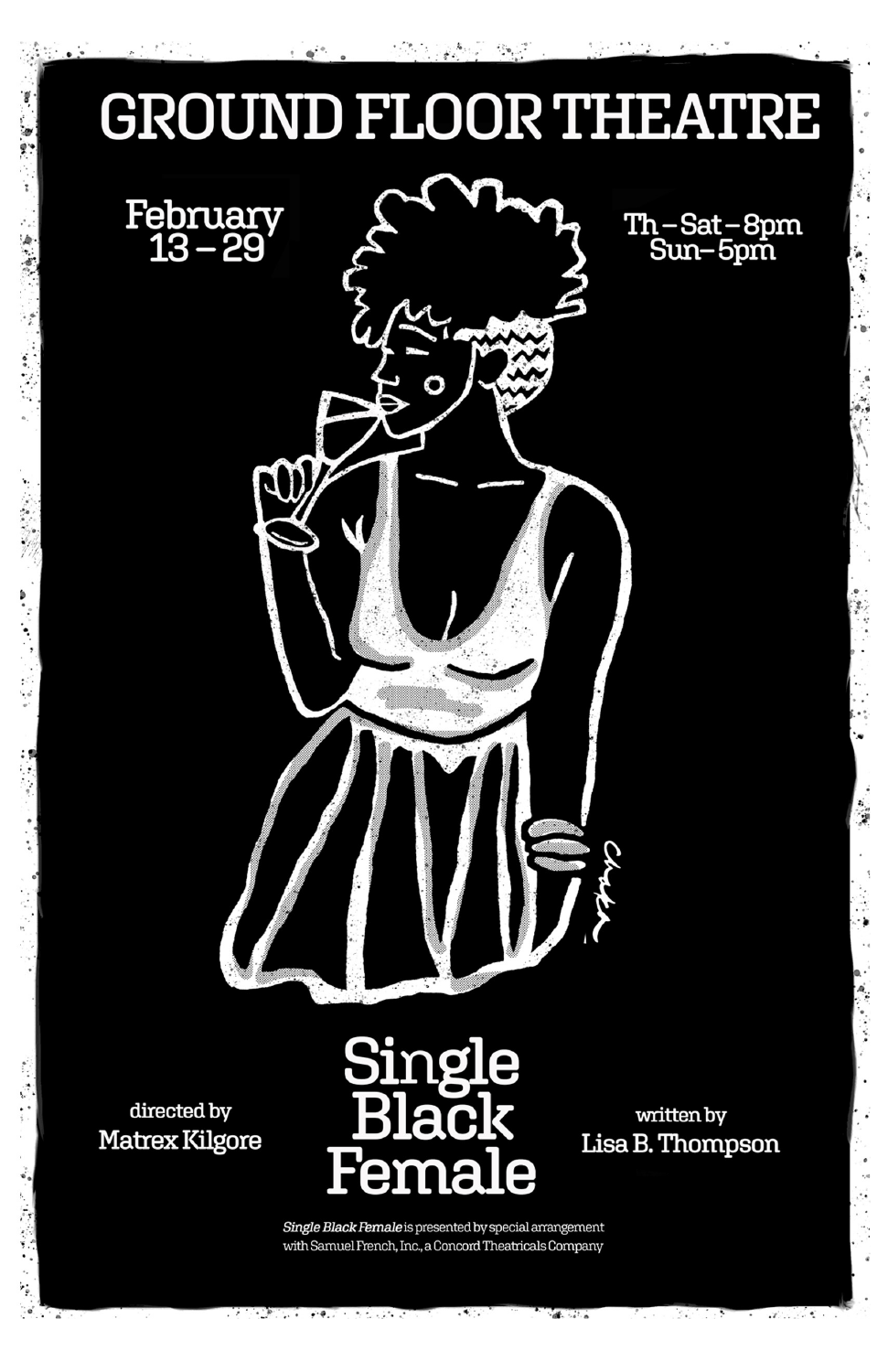

 $\langle \hat{z}_\mathbf{0} \rangle$ 

ø ġ,

> Single Black Female is presented by special arrangement with Samuel French, Inc., a Concord Theatricals Company

 $\ddot{ }$ 

 $\mathcal{L} \subset \mathcal{L}$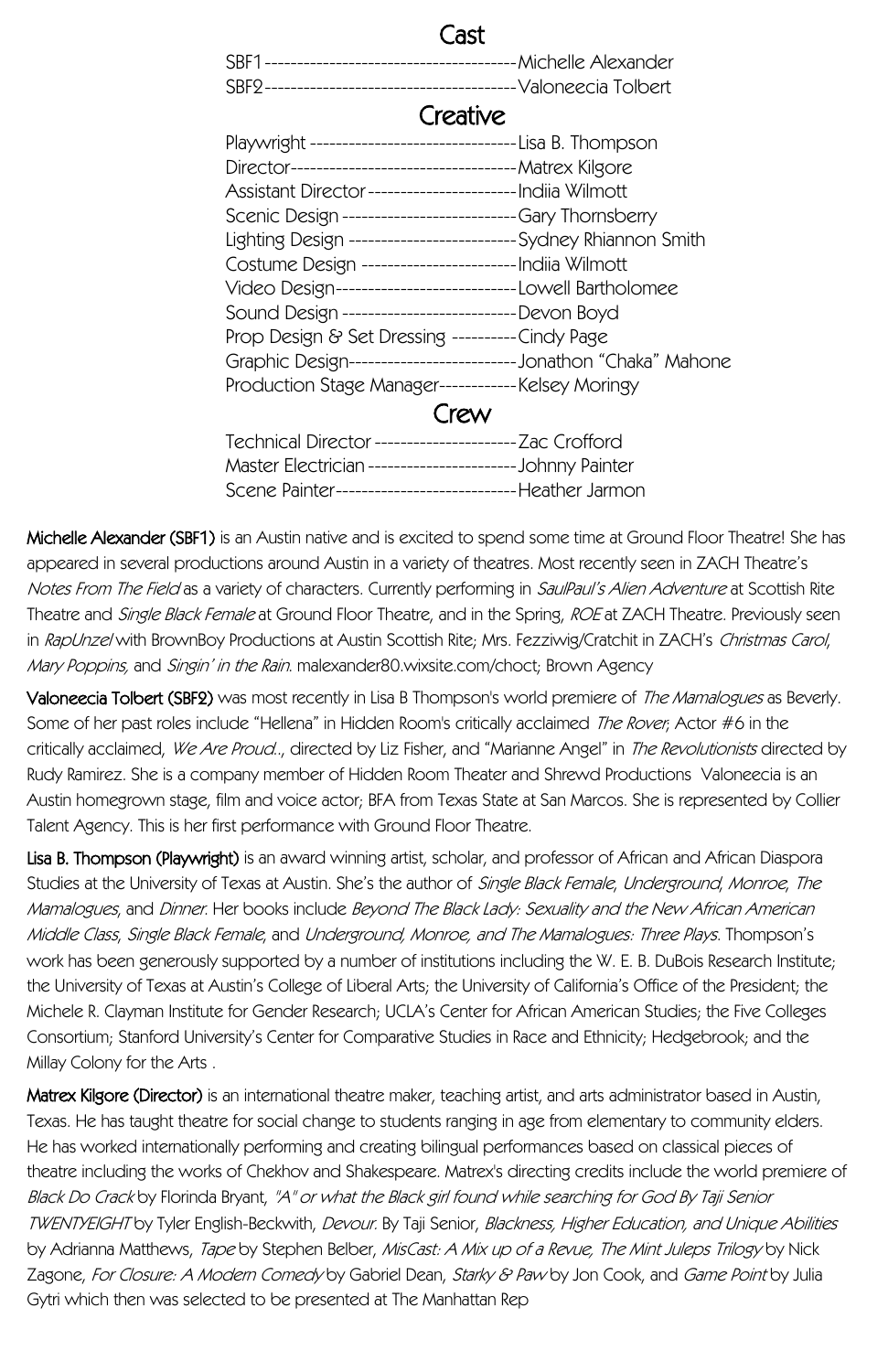## Cast

SBF1---------------------------------------Michelle Alexander SBF2---------------------------------------Valoneecia Tolbert

## **Creative**

| Playwright ------------------------------Lisa B. Thompson       |  |
|-----------------------------------------------------------------|--|
| Director----------------------------------- Matrex Kilgore      |  |
| Assistant Director------------------------ Indija Wilmott       |  |
| Scenic Design -------------------------Gary Thornsberry         |  |
| Lighting Design -------------------------Sydney Rhiannon Smith  |  |
| Costume Design ------------------------ Indiia Wilmott          |  |
| Video Design---------------------------Lowell Bartholomee       |  |
| Sound Design ---------------------------Devon Boyd              |  |
| Prop Design & Set Dressing ---------Cindy Page                  |  |
| Graphic Design--------------------------Jonathon "Chaka" Mahone |  |
| Production Stage Manager------------Kelsey Moringy              |  |
|                                                                 |  |

| Technical Director --------------------------- Zac Crofford |                         |
|-------------------------------------------------------------|-------------------------|
| Master Electrician ------------                             | ---------Johnny Painter |
| Scene Painter----------------                               | -------Heather Jarmon   |

Michelle Alexander (SBF1) is an Austin native and is excited to spend some time at Ground Floor Theatre! She has appeared in several productions around Austin in a variety of theatres. Most recently seen in ZACH Theatre's Notes From The Field as a variety of characters. Currently performing in SaulPaul's Alien Adventure at Scottish Rite Theatre and Single Black Female at Ground Floor Theatre, and in the Spring, ROE at ZACH Theatre. Previously seen in RapUnzel with BrownBoy Productions at Austin Scottish Rite: Mrs. Fezziwig/Cratchit in ZACH's Christmas Carol, Mary Poppins, and Singin' in the Rain. malexander80.wixsite.com/choct; Brown Agency

Valoneecia Tolbert (SBF2) was most recently in Lisa B Thompson's world premiere of The Mamalogues as Beverly. Some of her past roles include "Hellena" in Hidden Room's critically acclaimed The Rover; Actor #6 in the critically acclaimed, We Are Proud.., directed by Liz Fisher, and "Marianne Angel" in The Revolutionists directed by Rudy Ramirez. She is a company member of Hidden Room Theater and Shrewd Productions Valoneecia is an Austin homegrown stage, film and voice actor; BFA from Texas State at San Marcos. She is represented by Collier Talent Agency. This is her first performance with Ground Floor Theatre.

Lisa B. Thompson (Playwright) is an award winning artist, scholar, and professor of African and African Diaspora Studies at the University of Texas at Austin. She's the author of Single Black Female, Underground, Monroe, The Mamalogues, and Dinner. Her books include Beyond The Black Lady: Sexuality and the New African American Middle Class, Single Black Female, and Underground, Monroe, and The Mamalogues: Three Plays. Thompson's work has been generously supported by a number of institutions including the W. E. B. DuBois Research Institute; the University of Texas at Austin's College of Liberal Arts; the University of California's Office of the President; the Michele R. Clayman Institute for Gender Research; UCLA's Center for African American Studies; the Five Colleges Consortium; Stanford University's Center for Comparative Studies in Race and Ethnicity; Hedgebrook; and the Millay Colony for the Arts .

Matrex Kilgore (Director) is an international theatre maker, teaching artist, and arts administrator based in Austin, Texas. He has taught theatre for social change to students ranging in age from elementary to community elders. He has worked internationally performing and creating bilingual performances based on classical pieces of theatre including the works of Chekhov and Shakespeare. Matrex's directing credits include the world premiere of Black Do Crack by Florinda Bryant, "A" or what the Black girl found while searching for God By Taji Senior TWENTYEIGHT by Tyler English-Beckwith, Devour. By Taji Senior, Blackness, Higher Education, and Unique Abilities by Adrianna Matthews, Tape by Stephen Belber, MisCast: A Mix up of a Revue, The Mint Juleps Trilogy by Nick Zagone, For Closure: A Modern Comedy by Gabriel Dean, Starky & Paw by Jon Cook, and Game Point by Julia Gytri which then was selected to be presented at The Manhattan Rep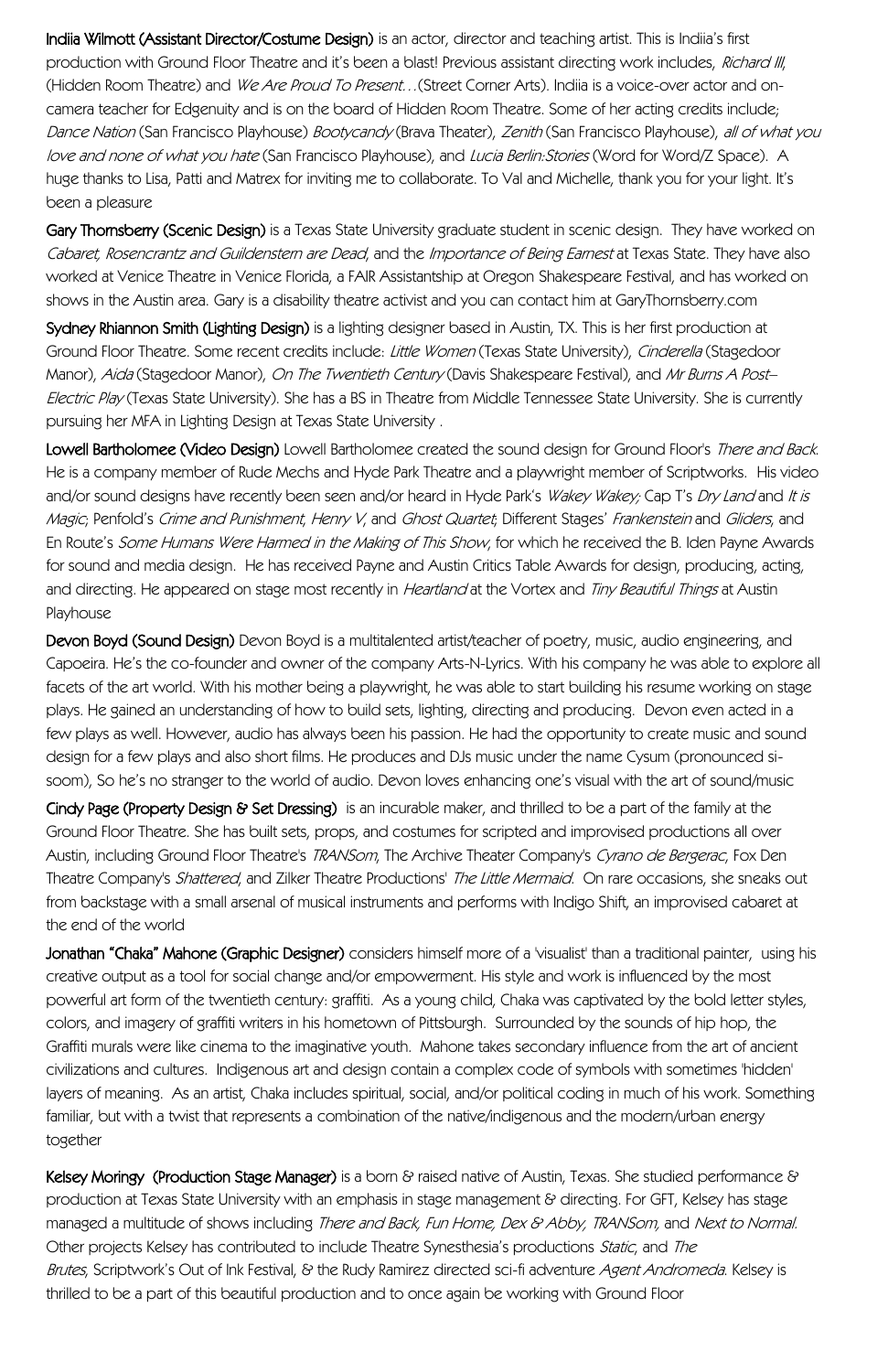Indiia Wilmott (Assistant Director/Costume Design) is an actor, director and teaching artist. This is Indiia's first production with Ground Floor Theatre and it's been a blast! Previous assistant directing work includes, Richard III, (Hidden Room Theatre) and We Are Proud To Present... (Street Corner Arts). Indiia is a voice-over actor and oncamera teacher for Edgenuity and is on the board of Hidden Room Theatre. Some of her acting credits include; Dance Nation (San Francisco Playhouse) Bootycandy (Brava Theater), Zenith (San Francisco Playhouse), all of what you love and none of what you hate (San Francisco Playhouse), and Lucia Berlin: Stories (Word for Word/Z Space). A huge thanks to Lisa, Patti and Matrex for inviting me to collaborate. To Val and Michelle, thank you for your light. It's been a pleasure

Gary Thornsberry (Scenic Design) is a Texas State University graduate student in scenic design. They have worked on Cabaret, Rosencrantz and Guildenstern are Dead, and the Importance of Being Earnest at Texas State. They have also worked at Venice Theatre in Venice Florida, a FAIR Assistantship at Oregon Shakespeare Festival, and has worked on shows in the Austin area. Gary is a disability theatre activist and you can contact him at GaryThornsberry.com

Sydney Rhiannon Smith (Lighting Design) is a lighting designer based in Austin, TX. This is her first production at Ground Floor Theatre. Some recent credits include: Little Women (Texas State University), Cinderella (Stagedoor Manor), Aida (Stagedoor Manor), On The Twentieth Century (Davis Shakespeare Festival), and Mr Burns A Post-Electric Play (Texas State University). She has a BS in Theatre from Middle Tennessee State University. She is currently pursuing her MFA in Lighting Design at Texas State University .

Lowell Bartholomee (Video Design) Lowell Bartholomee created the sound design for Ground Floor's There and Back. He is a company member of Rude Mechs and Hyde Park Theatre and a playwright member of Scriptworks. His video and/or sound designs have recently been seen and/or heard in Hyde Park's Wakey Wakey; Cap T's Dry Land and It is Magic; Penfold's Crime and Punishment, Henry V, and Ghost Quartet; Different Stages' Frankenstein and Gliders, and En Route's Some Humans Were Harmed in the Making of This Show, for which he received the B. Iden Payne Awards for sound and media design. He has received Payne and Austin Critics Table Awards for design, producing, acting, and directing. He appeared on stage most recently in *Heartland* at the Vortex and *Tiny Beautiful Things* at Austin Playhouse

Devon Boyd (Sound Design) Devon Boyd is a multitalented artist/teacher of poetry, music, audio engineering, and Capoeira. He's the co-founder and owner of the company Arts-N-Lyrics. With his company he was able to explore all facets of the art world. With his mother being a playwright, he was able to start building his resume working on stage plays. He gained an understanding of how to build sets, lighting, directing and producing. Devon even acted in a few plays as well. However, audio has always been his passion. He had the opportunity to create music and sound design for a few plays and also short films. He produces and DJs music under the name Cysum (pronounced sisoom), So he's no stranger to the world of audio. Devon loves enhancing one's visual with the art of sound/music

Cindy Page (Property Design & Set Dressing) is an incurable maker, and thrilled to be a part of the family at the Ground Floor Theatre. She has built sets, props, and costumes for scripted and improvised productions all over Austin, including Ground Floor Theatre's TRANSom, The Archive Theater Company's Cyrano de Bergerac, Fox Den Theatre Company's Shattered, and Zilker Theatre Productions' The Little Mermaid. On rare occasions, she sneaks out from backstage with a small arsenal of musical instruments and performs with Indigo Shift, an improvised cabaret at the end of the world

Jonathan "Chaka" Mahone (Graphic Designer) considers himself more of a Visualist' than a traditional painter, using his creative output as a tool for social change and/or empowerment. His style and work is influenced by the most powerful art form of the twentieth century: graffiti. As a young child, Chaka was captivated by the bold letter styles, colors, and imagery of graffiti writers in his hometown of Pittsburgh. Surrounded by the sounds of hip hop, the Graffiti murals were like cinema to the imaginative youth. Mahone takes secondary influence from the art of ancient civilizations and cultures. Indigenous art and design contain a complex code of symbols with sometimes 'hidden' layers of meaning. As an artist, Chaka includes spiritual, social, and/or political coding in much of his work. Something familiar, but with a twist that represents a combination of the native/indigenous and the modern/urban energy together

Kelsey Moringy (Production Stage Manager) is a born & raised native of Austin, Texas. She studied performance & production at Texas State University with an emphasis in stage management & directing. For GFT, Kelsey has stage managed a multitude of shows including There and Back, Fun Home, Dex & Abby, TRANSom, and Next to Normal. Other projects Kelsey has contributed to include Theatre Synesthesia's productions Static, and The Brutes, Scriptwork's Out of Ink Festival, & the Rudy Ramirez directed sci-fi adventure Agent Andromeda. Kelsey is thrilled to be a part of this beautiful production and to once again be working with Ground Floor